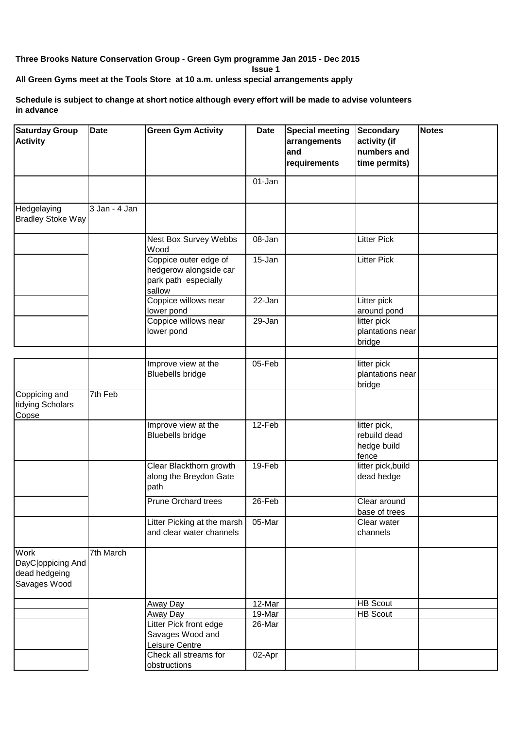## **Three Brooks Nature Conservation Group - Green Gym programme Jan 2015 - Dec 2015**

**Issue 1**

**All Green Gyms meet at the Tools Store at 10 a.m. unless special arrangements apply**

## **Schedule is subject to change at short notice although every effort will be made to advise volunteers in advance**

| <b>Saturday Group</b><br><b>Activity</b>                   | <b>Date</b>   | <b>Green Gym Activity</b>                                                         | <b>Date</b> | <b>Special meeting</b><br>arrangements<br>and<br>requirements | <b>Secondary</b><br>activity (if<br>numbers and<br>time permits) | <b>Notes</b> |
|------------------------------------------------------------|---------------|-----------------------------------------------------------------------------------|-------------|---------------------------------------------------------------|------------------------------------------------------------------|--------------|
|                                                            |               |                                                                                   | 01-Jan      |                                                               |                                                                  |              |
| Hedgelaying<br><b>Bradley Stoke Way</b>                    | 3 Jan - 4 Jan |                                                                                   |             |                                                               |                                                                  |              |
|                                                            |               | Nest Box Survey Webbs<br>Wood                                                     | 08-Jan      |                                                               | <b>Litter Pick</b>                                               |              |
|                                                            |               | Coppice outer edge of<br>hedgerow alongside car<br>park path especially<br>sallow | 15-Jan      |                                                               | <b>Litter Pick</b>                                               |              |
|                                                            |               | Coppice willows near<br>lower pond                                                | 22-Jan      |                                                               | Litter pick<br>around pond                                       |              |
|                                                            |               | Coppice willows near<br>lower pond                                                | 29-Jan      |                                                               | litter pick<br>plantations near<br>bridge                        |              |
|                                                            |               | Improve view at the<br><b>Bluebells bridge</b>                                    | 05-Feb      |                                                               | litter pick<br>plantations near<br>bridge                        |              |
| Coppicing and<br>tidying Scholars<br>Copse                 | 7th Feb       |                                                                                   |             |                                                               |                                                                  |              |
|                                                            |               | Improve view at the<br><b>Bluebells bridge</b>                                    | 12-Feb      |                                                               | litter pick,<br>rebuild dead<br>hedge build<br>fence             |              |
|                                                            |               | Clear Blackthorn growth<br>along the Breydon Gate<br>path                         | 19-Feb      |                                                               | litter pick, build<br>dead hedge                                 |              |
|                                                            |               | <b>Prune Orchard trees</b>                                                        | 26-Feb      |                                                               | Clear around<br>base of trees                                    |              |
|                                                            |               | Litter Picking at the marsh<br>and clear water channels                           | 05-Mar      |                                                               | Clear water<br>channels                                          |              |
| Work<br>DayC oppicing And<br>dead hedgeing<br>Savages Wood | 7th March     |                                                                                   |             |                                                               |                                                                  |              |
|                                                            |               | Away Day                                                                          | 12-Mar      |                                                               | <b>HB Scout</b>                                                  |              |
|                                                            |               | Away Day                                                                          | 19-Mar      |                                                               | <b>HB Scout</b>                                                  |              |
|                                                            |               | Litter Pick front edge<br>Savages Wood and<br>Leisure Centre                      | 26-Mar      |                                                               |                                                                  |              |
|                                                            |               | Check all streams for<br>obstructions                                             | 02-Apr      |                                                               |                                                                  |              |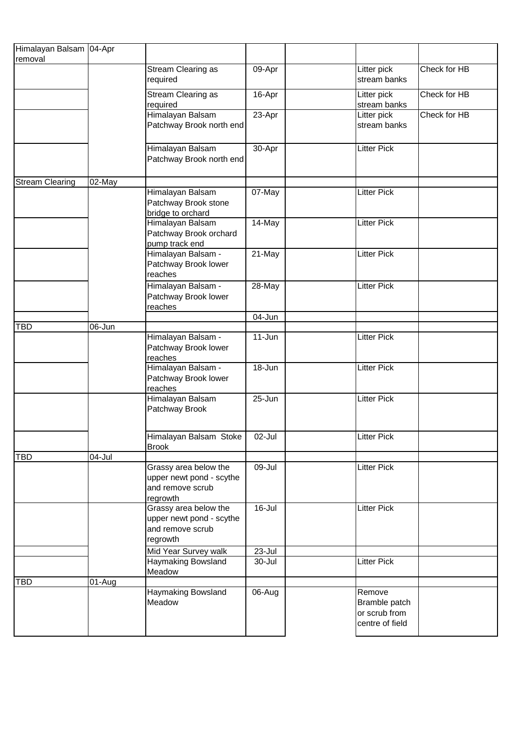| Himalayan Balsam 04-Apr |                      |                                                                                   |            |                                                             |              |
|-------------------------|----------------------|-----------------------------------------------------------------------------------|------------|-------------------------------------------------------------|--------------|
| removal                 |                      |                                                                                   |            |                                                             |              |
|                         |                      | Stream Clearing as<br>required                                                    | 09-Apr     | Litter pick<br>stream banks                                 | Check for HB |
|                         |                      | Stream Clearing as<br>required                                                    | 16-Apr     | Litter pick<br>stream banks                                 | Check for HB |
|                         |                      | Himalayan Balsam<br>Patchway Brook north end                                      | 23-Apr     | Litter pick<br>stream banks                                 | Check for HB |
|                         |                      | Himalayan Balsam<br>Patchway Brook north end                                      | 30-Apr     | <b>Litter Pick</b>                                          |              |
| <b>Stream Clearing</b>  | $02$ -May            |                                                                                   |            |                                                             |              |
|                         |                      | Himalayan Balsam<br>Patchway Brook stone<br>bridge to orchard                     | 07-May     | <b>Litter Pick</b>                                          |              |
|                         |                      | Himalayan Balsam<br>Patchway Brook orchard<br>pump track end                      | 14-May     | <b>Litter Pick</b>                                          |              |
|                         |                      | Himalayan Balsam -<br>Patchway Brook lower<br>reaches                             | 21-May     | <b>Litter Pick</b>                                          |              |
|                         |                      | Himalayan Balsam -<br>Patchway Brook lower<br>reaches                             | 28-May     | <b>Litter Pick</b>                                          |              |
|                         |                      |                                                                                   | 04-Jun     |                                                             |              |
| <b>TBD</b>              | 06-Jun               |                                                                                   |            |                                                             |              |
|                         |                      | Himalayan Balsam -<br>Patchway Brook lower<br>reaches                             | $11 - Jun$ | <b>Litter Pick</b>                                          |              |
|                         |                      | Himalayan Balsam -<br>Patchway Brook lower<br>reaches                             | 18-Jun     | <b>Litter Pick</b>                                          |              |
|                         |                      | Himalayan Balsam<br>Patchway Brook                                                | 25-Jun     | <b>Litter Pick</b>                                          |              |
|                         |                      | Himalayan Balsam Stoke<br><b>Brook</b>                                            | 02-Jul     | <b>Litter Pick</b>                                          |              |
| <b>TBD</b>              | 04-Jul               |                                                                                   |            |                                                             |              |
|                         |                      | Grassy area below the<br>upper newt pond - scythe<br>and remove scrub<br>regrowth | 09-Jul     | <b>Litter Pick</b>                                          |              |
|                         |                      | Grassy area below the<br>upper newt pond - scythe<br>and remove scrub<br>regrowth | $16 -$ Jul | <b>Litter Pick</b>                                          |              |
|                         |                      | Mid Year Survey walk                                                              | 23-Jul     |                                                             |              |
|                         |                      | Haymaking Bowsland<br>Meadow                                                      | 30-Jul     | Litter Pick                                                 |              |
| <b>TBD</b>              | $\overline{0}$ 1-Aug |                                                                                   |            |                                                             |              |
|                         |                      | Haymaking Bowsland<br>Meadow                                                      | 06-Aug     | Remove<br>Bramble patch<br>or scrub from<br>centre of field |              |